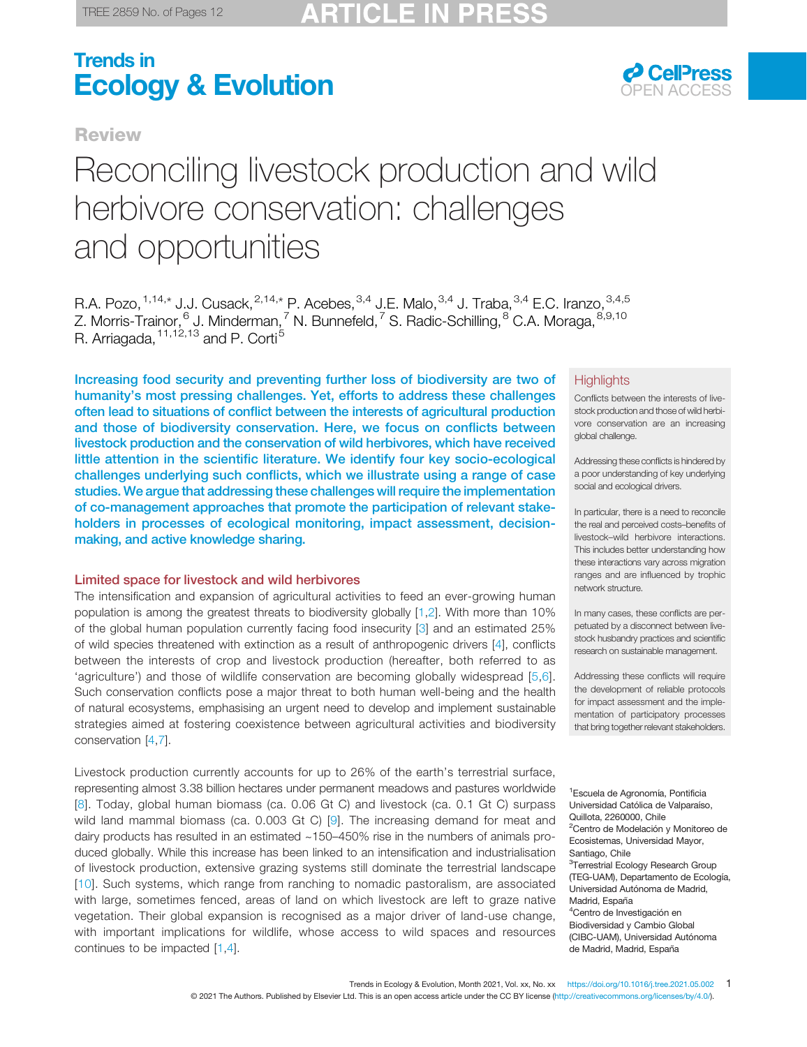**Review** 



# Reconciling livestock production and wild herbivore conservation: challenges and opportunities

R.A. Pozo,  $1,14,*$  $1,14,*$  J.J. Cusack,  $2,14,*$  $2,14,*$  P. Acebes,  $3,4$  J.E. Malo,  $3,4$  J. Traba,  $3,4$  E.C. Iranzo,  $3,4,5$  $3,4,5$ Z. Morris-Trainor,  $6$  J. Minderman,  $7$  N. Bunnefeld,  $7$  S. Radic-Schilling,  $8^8$  $8^8$  C.A. Moraga,  $8,9,10$  $8,9,10$  $8,9,10$ R. Arriagada, <sup>[11](#page-1-0),[12,13](#page-1-0)</sup> and P. Corti<sup>[5](#page-1-0)</sup>

Increasing food security and preventing further loss of biodiversity are two of humanity's most pressing challenges. Yet, efforts to address these challenges often lead to situations of conflict between the interests of agricultural production and those of biodiversity conservation. Here, we focus on conflicts between livestock production and the conservation of wild herbivores, which have received little attention in the scientific literature. We identify four key socio-ecological challenges underlying such conflicts, which we illustrate using a range of case studies. We argue that addressing these challenges will require the implementation of co-management approaches that promote the participation of relevant stakeholders in processes of ecological monitoring, impact assessment, decisionmaking, and active knowledge sharing.

#### Limited space for livestock and wild herbivores

The intensification and expansion of agricultural activities to feed an ever-growing human population is among the greatest threats to biodiversity globally [[1,2](#page-9-0)]. With more than 10% of the global human population currently facing food insecurity [\[3](#page-9-0)] and an estimated 25% of wild species threatened with extinction as a result of anthropogenic drivers [\[4](#page-9-0)], conflicts between the interests of crop and livestock production (hereafter, both referred to as 'agriculture') and those of wildlife conservation are becoming globally widespread [[5,6\]](#page-9-0). Such conservation conflicts pose a major threat to both human well-being and the health of natural ecosystems, emphasising an urgent need to develop and implement sustainable strategies aimed at fostering coexistence between agricultural activities and biodiversity conservation [[4,7](#page-9-0)].

Livestock production currently accounts for up to 26% of the earth's terrestrial surface, representing almost 3.38 billion hectares under permanent meadows and pastures worldwide [[8](#page-9-0)]. Today, global human biomass (ca. 0.06 Gt C) and livestock (ca. 0.1 Gt C) surpass wild land mammal biomass (ca. 0.003 Gt C) [[9](#page-10-0)]. The increasing demand for meat and dairy products has resulted in an estimated  $~150-450\%$  rise in the numbers of animals produced globally. While this increase has been linked to an intensification and industrialisation of livestock production, extensive grazing systems still dominate the terrestrial landscape [[10\]](#page-10-0). Such systems, which range from ranching to nomadic pastoralism, are associated with large, sometimes fenced, areas of land on which livestock are left to graze native vegetation. Their global expansion is recognised as a major driver of land-use change, with important implications for wildlife, whose access to wild spaces and resources continues to be impacted [\[1](#page-9-0),[4\]](#page-9-0).

#### **Highlights**

Conflicts between the interests of livestock production and those of wild herbivore conservation are an increasing global challenge.

Addressing these conflicts is hindered by a poor understanding of key underlying social and ecological drivers.

In particular, there is a need to reconcile the real and perceived costs–benefits of livestock–wild herbivore interactions. This includes better understanding how these interactions vary across migration ranges and are influenced by trophic network structure.

In many cases, these conflicts are perpetuated by a disconnect between livestock husbandry practices and scientific research on sustainable management.

Addressing these conflicts will require the development of reliable protocols for impact assessment and the implementation of participatory processes that bring together relevant stakeholders.

1 Escuela de Agronomía, Pontificia Universidad Católica de Valparaíso, Quillota, 2260000, Chile <sup>2</sup>Centro de Modelación y Monitoreo de Ecosistemas, Universidad Mayor, Santiago, Chile <sup>3</sup>Terrestrial Ecology Research Group (TEG-UAM), Departamento de Ecología, Universidad Autónoma de Madrid, Madrid, España 4 Centro de Investigación en Biodiversidad y Cambio Global (CIBC-UAM), Universidad Autónoma de Madrid, Madrid, España

Trends in Ecology & Evolution, Month 2021, Vol. xx, No. xx <https://doi.org/10.1016/j.tree.2021.05.002> [1](https://doi.org/10.1016/j.tree.2021.05.002) [© 2021 The Authors. Published by Elsevier Ltd. This is an open access article under the CC BY license \(http://creativecommons.org/licenses/by/4.0/\).](https://doi.org/10.1016/j.tree.2021.05.002)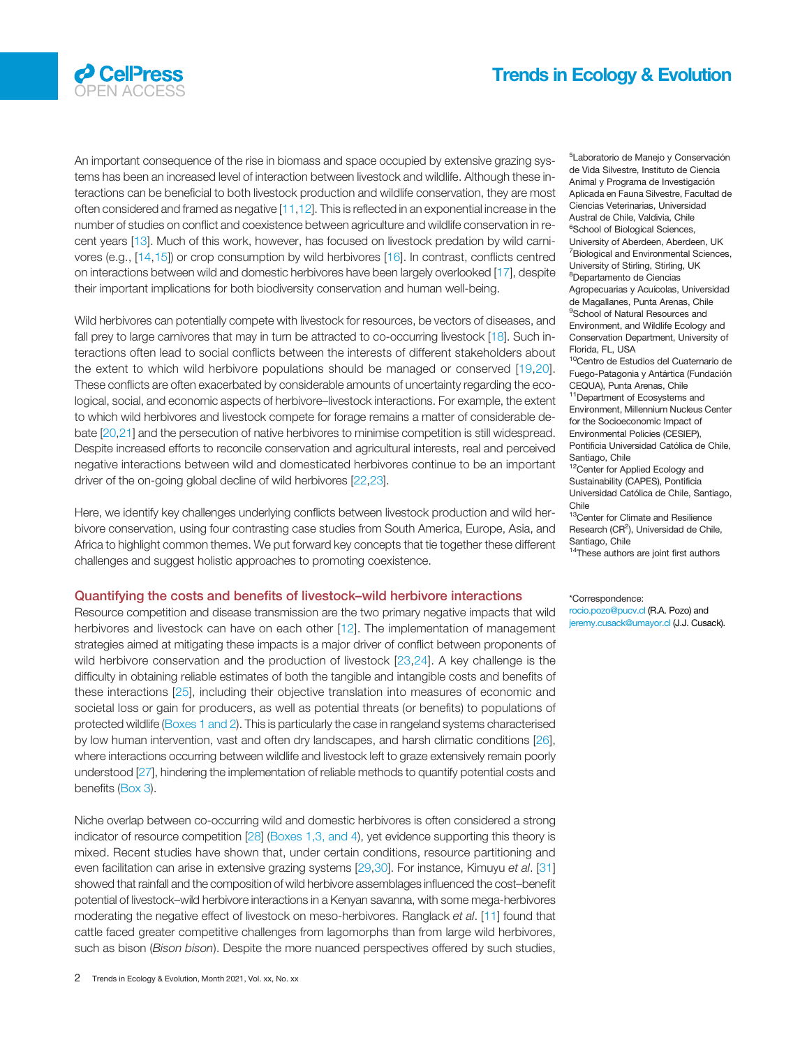<span id="page-1-0"></span>

An important consequence of the rise in biomass and space occupied by extensive grazing systems has been an increased level of interaction between livestock and wildlife. Although these interactions can be beneficial to both livestock production and wildlife conservation, they are most often considered and framed as negative [[11,12\]](#page-10-0). This is reflected in an exponential increase in the number of studies on conflict and coexistence between agriculture and wildlife conservation in recent years [\[13](#page-10-0)]. Much of this work, however, has focused on livestock predation by wild carnivores (e.g., [\[14,15](#page-10-0)]) or crop consumption by wild herbivores [\[16](#page-10-0)]. In contrast, conflicts centred on interactions between wild and domestic herbivores have been largely overlooked [\[17](#page-10-0)], despite their important implications for both biodiversity conservation and human well-being.

Wild herbivores can potentially compete with livestock for resources, be vectors of diseases, and fall prey to large carnivores that may in turn be attracted to co-occurring livestock [[18\]](#page-10-0). Such interactions often lead to social conflicts between the interests of different stakeholders about the extent to which wild herbivore populations should be managed or conserved [[19,20\]](#page-10-0). These conflicts are often exacerbated by considerable amounts of uncertainty regarding the ecological, social, and economic aspects of herbivore–livestock interactions. For example, the extent to which wild herbivores and livestock compete for forage remains a matter of considerable debate [[20,21](#page-10-0)] and the persecution of native herbivores to minimise competition is still widespread. Despite increased efforts to reconcile conservation and agricultural interests, real and perceived negative interactions between wild and domesticated herbivores continue to be an important driver of the on-going global decline of wild herbivores [\[22](#page-10-0),[23\]](#page-10-0).

Here, we identify key challenges underlying conflicts between livestock production and wild herbivore conservation, using four contrasting case studies from South America, Europe, Asia, and Africa to highlight common themes. We put forward key concepts that tie together these different challenges and suggest holistic approaches to promoting coexistence.

#### Quantifying the costs and benefits of livestock–wild herbivore interactions

Resource competition and disease transmission are the two primary negative impacts that wild herbivores and livestock can have on each other [[12\]](#page-10-0). The implementation of management strategies aimed at mitigating these impacts is a major driver of conflict between proponents of wild herbivore conservation and the production of livestock [[23](#page-10-0),[24\]](#page-10-0). A key challenge is the difficulty in obtaining reliable estimates of both the tangible and intangible costs and benefits of these interactions [\[25](#page-10-0)], including their objective translation into measures of economic and societal loss or gain for producers, as well as potential threats (or benefits) to populations of protected wildlife [\(Boxes 1 and 2\)](#page-2-0). This is particularly the case in rangeland systems characterised by low human intervention, vast and often dry landscapes, and harsh climatic conditions [[26\]](#page-10-0), where interactions occurring between wildlife and livestock left to graze extensively remain poorly understood [[27](#page-10-0)], hindering the implementation of reliable methods to quantify potential costs and benefits [\(Box 3\)](#page-3-0).

Niche overlap between co-occurring wild and domestic herbivores is often considered a strong indicator of resource competition [\[28](#page-10-0)] ([Boxes 1,3, and 4](#page-2-0)), yet evidence supporting this theory is mixed. Recent studies have shown that, under certain conditions, resource partitioning and even facilitation can arise in extensive grazing systems [[29,30\]](#page-10-0). For instance, Kimuyu et al. [\[31](#page-10-0)] showed that rainfall and the composition of wild herbivore assemblages influenced the cost–benefit potential of livestock–wild herbivore interactions in a Kenyan savanna, with some mega-herbivores moderating the negative effect of livestock on meso-herbivores. Ranglack et al. [[11\]](#page-10-0) found that cattle faced greater competitive challenges from lagomorphs than from large wild herbivores, such as bison (Bison bison). Despite the more nuanced perspectives offered by such studies,

5 Laboratorio de Manejo y Conservación de Vida Silvestre, Instituto de Ciencia Animal y Programa de Investigación Aplicada en Fauna Silvestre, Facultad de Ciencias Veterinarias, Universidad Austral de Chile, Valdivia, Chile <sup>6</sup>School of Biological Sciences, University of Aberdeen, Aberdeen, UK <sup>7</sup> Biological and Environmental Sciences, University of Stirling, Stirling, UK 8 Departamento de Ciencias Agropecuarias y Acuícolas, Universidad de Magallanes, Punta Arenas, Chile <sup>9</sup>School of Natural Resources and Environment, and Wildlife Ecology and Conservation Department, University of Florida, FL, USA

<sup>10</sup>Centro de Estudios del Cuaternario de Fuego-Patagonia y Antártica (Fundación CEQUA), Punta Arenas, Chile <sup>11</sup>Department of Ecosystems and Environment, Millennium Nucleus Center for the Socioeconomic Impact of Environmental Policies (CESIEP), Pontificia Universidad Católica de Chile,

Santiago, Chile 12Center for Applied Ecology and

Sustainability (CAPES), Pontificia Universidad Católica de Chile, Santiago, Chile

13Center for Climate and Resilience Research (CR<sup>2</sup>), Universidad de Chile, Santiago, Chile

<sup>14</sup>These authors are joint first authors

#### \*Correspondence:

rocio.pozo@pucv.cl (R.A. Pozo) and jeremy.cusack@umayor.cl (J.J. Cusack).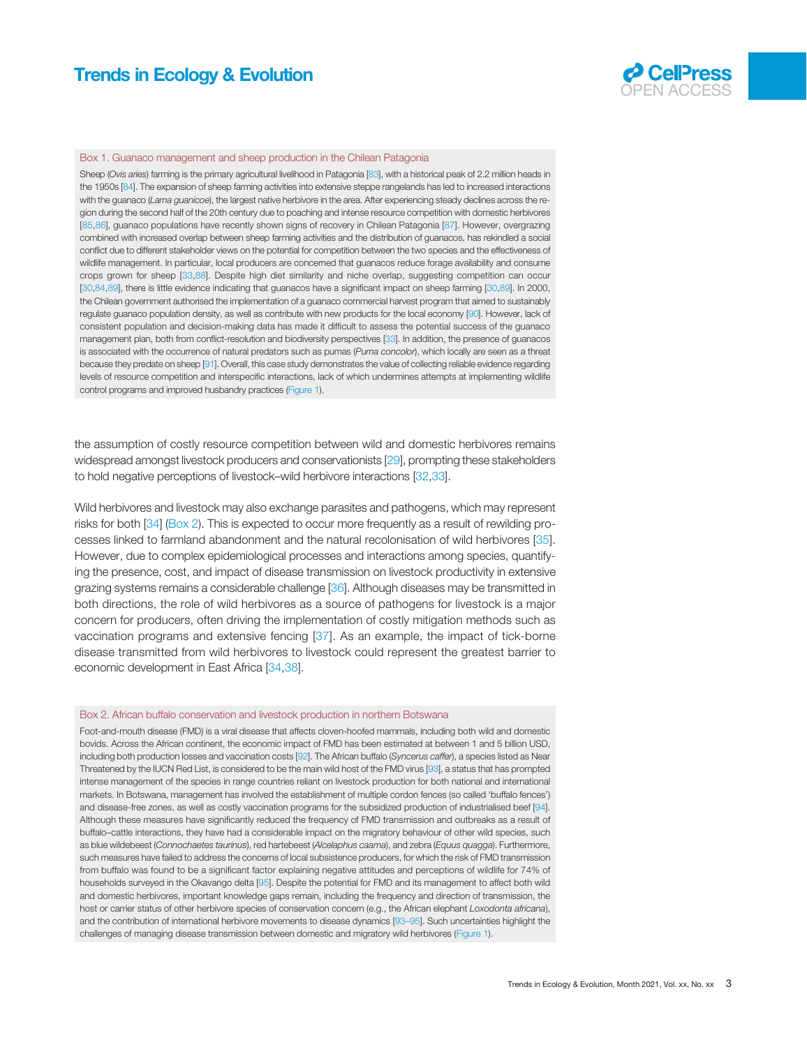

#### <span id="page-2-0"></span>Box 1. Guanaco management and sheep production in the Chilean Patagonia

Sheep (Ovis aries) farming is the primary agricultural livelihood in Patagonia [[83](#page-11-0)], with a historical peak of 2.2 million heads in the 1950s [\[84\]](#page-11-0). The expansion of sheep farming activities into extensive steppe rangelands has led to increased interactions with the guanaco (Lama guanicoe), the largest native herbivore in the area. After experiencing steady declines across the region during the second half of the 20th century due to poaching and intense resource competition with domestic herbivores [[85,86](#page-11-0)], guanaco populations have recently shown signs of recovery in Chilean Patagonia [\[87](#page-11-0)]. However, overgrazing combined with increased overlap between sheep farming activities and the distribution of guanacos, has rekindled a social conflict due to different stakeholder views on the potential for competition between the two species and the effectiveness of wildlife management. In particular, local producers are concerned that guanacos reduce forage availability and consume crops grown for sheep [\[33](#page-10-0),[88\]](#page-11-0). Despite high diet similarity and niche overlap, suggesting competition can occur [\[30](#page-10-0)[,84,89](#page-11-0)], there is little evidence indicating that guanacos have a significant impact on sheep farming [\[30,](#page-10-0)[89](#page-11-0)]. In 2000, the Chilean government authorised the implementation of a guanaco commercial harvest program that aimed to sustainably regulate guanaco population density, as well as contribute with new products for the local economy [\[90\]](#page-11-0). However, lack of consistent population and decision-making data has made it difficult to assess the potential success of the guanaco management plan, both from conflict-resolution and biodiversity perspectives [\[33\]](#page-10-0). In addition, the presence of guanacos is associated with the occurrence of natural predators such as pumas (Puma concolor), which locally are seen as a threat because they predate on sheep [\[91](#page-11-0)]. Overall, this case study demonstrates the value of collecting reliable evidence regarding levels of resource competition and interspecific interactions, lack of which undermines attempts at implementing wildlife control programs and improved husbandry practices [\(Figure 1\)](#page-6-0).

the assumption of costly resource competition between wild and domestic herbivores remains widespread amongst livestock producers and conservationists [\[29](#page-10-0)], prompting these stakeholders to hold negative perceptions of livestock–wild herbivore interactions [[32,33\]](#page-10-0).

Wild herbivores and livestock may also exchange parasites and pathogens, which may represent risks for both [\[34](#page-10-0)] (Box 2). This is expected to occur more frequently as a result of rewilding processes linked to farmland abandonment and the natural recolonisation of wild herbivores [[35\]](#page-10-0). However, due to complex epidemiological processes and interactions among species, quantifying the presence, cost, and impact of disease transmission on livestock productivity in extensive grazing systems remains a considerable challenge [\[36](#page-10-0)]. Although diseases may be transmitted in both directions, the role of wild herbivores as a source of pathogens for livestock is a major concern for producers, often driving the implementation of costly mitigation methods such as vaccination programs and extensive fencing [\[37](#page-10-0)]. As an example, the impact of tick-borne disease transmitted from wild herbivores to livestock could represent the greatest barrier to economic development in East Africa [[34](#page-10-0),[38\]](#page-10-0).

#### Box 2. African buffalo conservation and livestock production in northern Botswana

Foot-and-mouth disease (FMD) is a viral disease that affects cloven-hoofed mammals, including both wild and domestic bovids. Across the African continent, the economic impact of FMD has been estimated at between 1 and 5 billion USD, including both production losses and vaccination costs [[92](#page-11-0)]. The African buffalo (Syncerus caffer), a species listed as Near Threatened by the IUCN Red List, is considered to be the main wild host of the FMD virus [\[93\]](#page-11-0), a status that has prompted intense management of the species in range countries reliant on livestock production for both national and international markets. In Botswana, management has involved the establishment of multiple cordon fences (so called 'buffalo fences') and disease-free zones, as well as costly vaccination programs for the subsidized production of industrialised beef [\[94\]](#page-11-0). Although these measures have significantly reduced the frequency of FMD transmission and outbreaks as a result of buffalo–cattle interactions, they have had a considerable impact on the migratory behaviour of other wild species, such as blue wildebeest (Connochaetes taurinus), red hartebeest (Alcelaphus caama), and zebra (Equus quagga). Furthermore, such measures have failed to address the concerns of local subsistence producers, for which the risk of FMD transmission from buffalo was found to be a significant factor explaining negative attitudes and perceptions of wildlife for 74% of households surveyed in the Okavango delta [\[95](#page-11-0)]. Despite the potential for FMD and its management to affect both wild and domestic herbivores, important knowledge gaps remain, including the frequency and direction of transmission, the host or carrier status of other herbivore species of conservation concern (e.g., the African elephant Loxodonta africana), and the contribution of international herbivore movements to disease dynamics [\[93](#page-11-0)–95]. Such uncertainties highlight the challenges of managing disease transmission between domestic and migratory wild herbivores [\(Figure 1](#page-6-0)).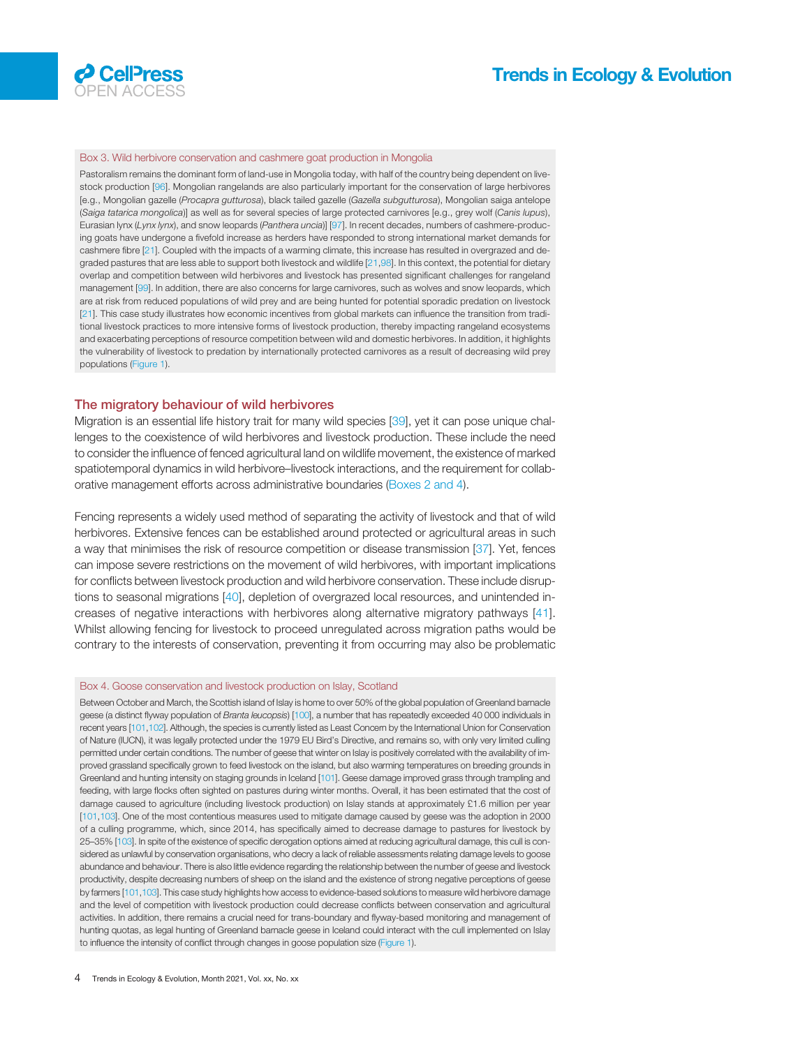<span id="page-3-0"></span>

#### Box 3. Wild herbivore conservation and cashmere goat production in Mongolia

Pastoralism remains the dominant form of land-use in Mongolia today, with half of the country being dependent on livestock production [[96\]](#page-11-0). Mongolian rangelands are also particularly important for the conservation of large herbivores [e.g., Mongolian gazelle (Procapra gutturosa), black tailed gazelle (Gazella subgutturosa), Mongolian saiga antelope (Saiga tatarica mongolica)] as well as for several species of large protected carnivores [e.g., grey wolf (Canis lupus), Eurasian lynx (Lynx lynx), and snow leopards (Panthera uncia)] [\[97](#page-11-0)]. In recent decades, numbers of cashmere-producing goats have undergone a fivefold increase as herders have responded to strong international market demands for cashmere fibre [\[21](#page-10-0)]. Coupled with the impacts of a warming climate, this increase has resulted in overgrazed and degraded pastures that are less able to support both livestock and wildlife [[21,](#page-10-0)[98\]](#page-11-0). In this context, the potential for dietary overlap and competition between wild herbivores and livestock has presented significant challenges for rangeland management [\[99](#page-11-0)]. In addition, there are also concerns for large carnivores, such as wolves and snow leopards, which are at risk from reduced populations of wild prey and are being hunted for potential sporadic predation on livestock [[21](#page-10-0)]. This case study illustrates how economic incentives from global markets can influence the transition from traditional livestock practices to more intensive forms of livestock production, thereby impacting rangeland ecosystems and exacerbating perceptions of resource competition between wild and domestic herbivores. In addition, it highlights the vulnerability of livestock to predation by internationally protected carnivores as a result of decreasing wild prey populations ([Figure 1\)](#page-6-0).

#### The migratory behaviour of wild herbivores

Migration is an essential life history trait for many wild species [\[39](#page-10-0)], yet it can pose unique challenges to the coexistence of wild herbivores and livestock production. These include the need to consider the influence of fenced agricultural land on wildlife movement, the existence of marked spatiotemporal dynamics in wild herbivore–livestock interactions, and the requirement for collaborative management efforts across administrative boundaries ([Boxes 2 and 4](#page-2-0)).

Fencing represents a widely used method of separating the activity of livestock and that of wild herbivores. Extensive fences can be established around protected or agricultural areas in such a way that minimises the risk of resource competition or disease transmission [[37\]](#page-10-0). Yet, fences can impose severe restrictions on the movement of wild herbivores, with important implications for conflicts between livestock production and wild herbivore conservation. These include disruptions to seasonal migrations [[40\]](#page-10-0), depletion of overgrazed local resources, and unintended increases of negative interactions with herbivores along alternative migratory pathways [[41\]](#page-10-0). Whilst allowing fencing for livestock to proceed unregulated across migration paths would be contrary to the interests of conservation, preventing it from occurring may also be problematic

#### Box 4. Goose conservation and livestock production on Islay, Scotland

Between October and March, the Scottish island of Islay is home to over 50% of the global population of Greenland barnacle geese (a distinct flyway population of Branta leucopsis) [\[100](#page-11-0)], a number that has repeatedly exceeded 40 000 individuals in recent years [[101,102](#page-11-0)]. Although, the species is currently listed as Least Concern by the International Union for Conservation of Nature (IUCN), it was legally protected under the 1979 EU Bird's Directive, and remains so, with only very limited culling permitted under certain conditions. The number of geese that winter on Islay is positively correlated with the availability of improved grassland specifically grown to feed livestock on the island, but also warming temperatures on breeding grounds in Greenland and hunting intensity on staging grounds in Iceland [\[101\]](#page-11-0). Geese damage improved grass through trampling and feeding, with large flocks often sighted on pastures during winter months. Overall, it has been estimated that the cost of damage caused to agriculture (including livestock production) on Islay stands at approximately £1.6 million per year [\[101,103](#page-11-0)]. One of the most contentious measures used to mitigate damage caused by geese was the adoption in 2000 of a culling programme, which, since 2014, has specifically aimed to decrease damage to pastures for livestock by 25–35% [\[103\]](#page-11-0). In spite of the existence of specific derogation options aimed at reducing agricultural damage, this cull is considered as unlawful by conservation organisations, who decry a lack of reliable assessments relating damage levels to goose abundance and behaviour. There is also little evidence regarding the relationship between the number of geese and livestock productivity, despite decreasing numbers of sheep on the island and the existence of strong negative perceptions of geese by farmers [[101,103](#page-11-0)]. This case study highlights how access to evidence-based solutions to measure wild herbivore damage and the level of competition with livestock production could decrease conflicts between conservation and agricultural activities. In addition, there remains a crucial need for trans-boundary and flyway-based monitoring and management of hunting quotas, as legal hunting of Greenland barnacle geese in Iceland could interact with the cull implemented on Islay to influence the intensity of conflict through changes in goose population size [\(Figure 1\)](#page-6-0).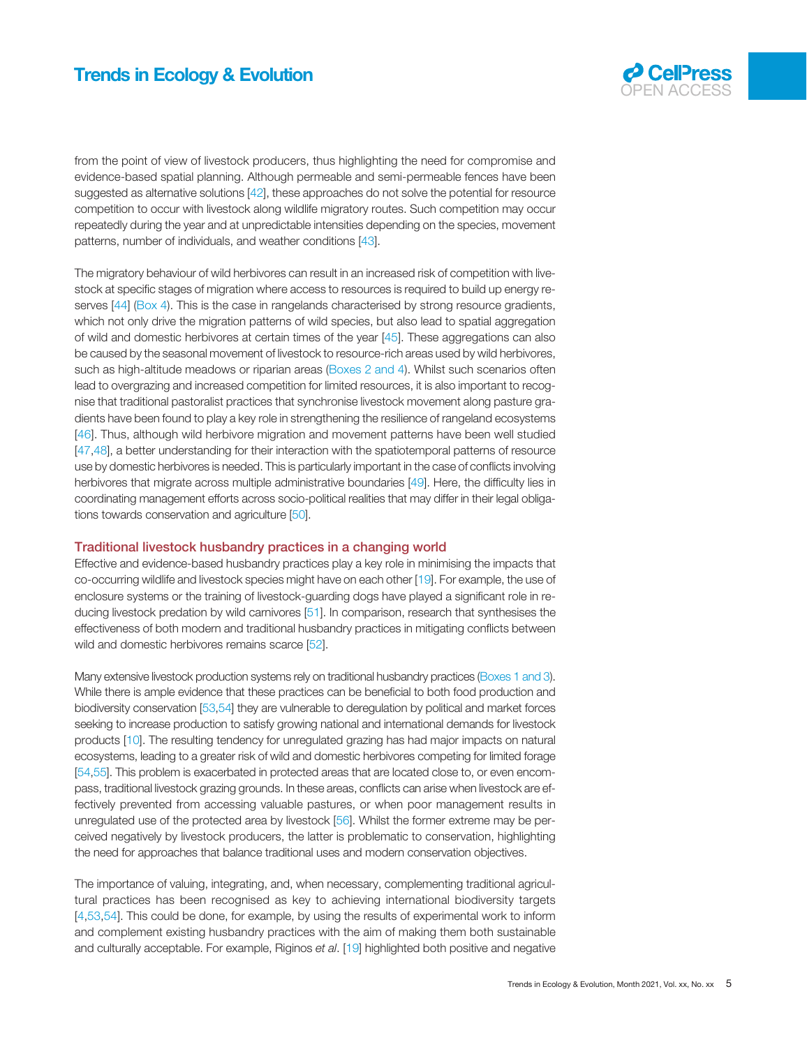

from the point of view of livestock producers, thus highlighting the need for compromise and evidence-based spatial planning. Although permeable and semi-permeable fences have been suggested as alternative solutions [\[42\]](#page-10-0), these approaches do not solve the potential for resource competition to occur with livestock along wildlife migratory routes. Such competition may occur repeatedly during the year and at unpredictable intensities depending on the species, movement patterns, number of individuals, and weather conditions [\[43\]](#page-10-0).

The migratory behaviour of wild herbivores can result in an increased risk of competition with livestock at specific stages of migration where access to resources is required to build up energy re-serves [\[44](#page-10-0)] [\(Box 4](#page-3-0)). This is the case in rangelands characterised by strong resource gradients, which not only drive the migration patterns of wild species, but also lead to spatial aggregation of wild and domestic herbivores at certain times of the year [[45\]](#page-10-0). These aggregations can also be caused by the seasonal movement of livestock to resource-rich areas used by wild herbivores, such as high-altitude meadows or riparian areas ([Boxes 2 and 4](#page-2-0)). Whilst such scenarios often lead to overgrazing and increased competition for limited resources, it is also important to recognise that traditional pastoralist practices that synchronise livestock movement along pasture gradients have been found to play a key role in strengthening the resilience of rangeland ecosystems [[46](#page-10-0)]. Thus, although wild herbivore migration and movement patterns have been well studied [[47,48](#page-10-0)], a better understanding for their interaction with the spatiotemporal patterns of resource use by domestic herbivores is needed. This is particularly important in the case of conflicts involving herbivores that migrate across multiple administrative boundaries [\[49](#page-10-0)]. Here, the difficulty lies in coordinating management efforts across socio-political realities that may differ in their legal obligations towards conservation and agriculture [\[50](#page-10-0)].

#### Traditional livestock husbandry practices in a changing world

Effective and evidence-based husbandry practices play a key role in minimising the impacts that co-occurring wildlife and livestock species might have on each other [\[19](#page-10-0)]. For example, the use of enclosure systems or the training of livestock-guarding dogs have played a significant role in reducing livestock predation by wild carnivores [\[51](#page-10-0)]. In comparison, research that synthesises the effectiveness of both modern and traditional husbandry practices in mitigating conflicts between wild and domestic herbivores remains scarce [\[52](#page-10-0)].

Many extensive livestock production systems rely on traditional husbandry practices ([Boxes 1 and 3](#page-2-0)). While there is ample evidence that these practices can be beneficial to both food production and biodiversity conservation [\[53,54](#page-10-0)] they are vulnerable to deregulation by political and market forces seeking to increase production to satisfy growing national and international demands for livestock products [\[10](#page-10-0)]. The resulting tendency for unregulated grazing has had major impacts on natural ecosystems, leading to a greater risk of wild and domestic herbivores competing for limited forage [[54,55\]](#page-10-0). This problem is exacerbated in protected areas that are located close to, or even encompass, traditional livestock grazing grounds. In these areas, conflicts can arise when livestock are effectively prevented from accessing valuable pastures, or when poor management results in unregulated use of the protected area by livestock [\[56](#page-10-0)]. Whilst the former extreme may be perceived negatively by livestock producers, the latter is problematic to conservation, highlighting the need for approaches that balance traditional uses and modern conservation objectives.

The importance of valuing, integrating, and, when necessary, complementing traditional agricultural practices has been recognised as key to achieving international biodiversity targets [[4](#page-9-0)[,53](#page-10-0),[54\]](#page-10-0). This could be done, for example, by using the results of experimental work to inform and complement existing husbandry practices with the aim of making them both sustainable and culturally acceptable. For example, Riginos et al. [[19](#page-10-0)] highlighted both positive and negative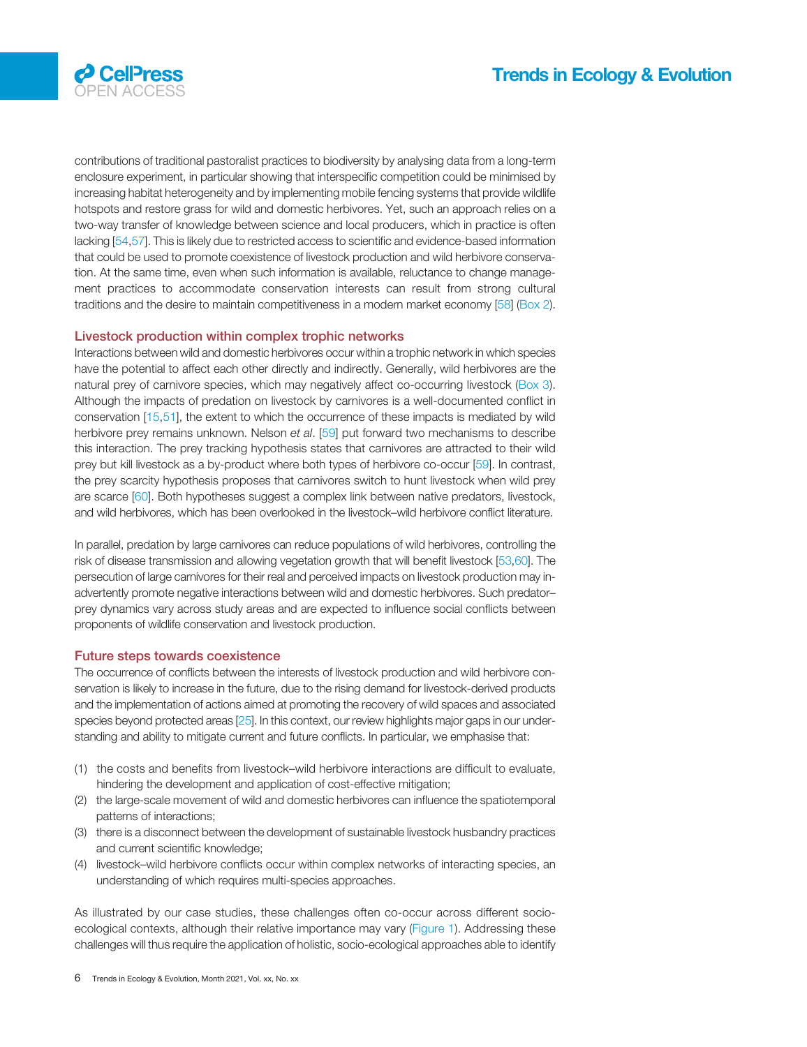



contributions of traditional pastoralist practices to biodiversity by analysing data from a long-term enclosure experiment, in particular showing that interspecific competition could be minimised by increasing habitat heterogeneity and by implementing mobile fencing systems that provide wildlife hotspots and restore grass for wild and domestic herbivores. Yet, such an approach relies on a two-way transfer of knowledge between science and local producers, which in practice is often lacking [\[54,57](#page-10-0)]. This is likely due to restricted access to scientific and evidence-based information that could be used to promote coexistence of livestock production and wild herbivore conservation. At the same time, even when such information is available, reluctance to change management practices to accommodate conservation interests can result from strong cultural traditions and the desire to maintain competitiveness in a modern market economy [\[58\]](#page-10-0) [\(Box 2\)](#page-2-0).

#### Livestock production within complex trophic networks

Interactions between wild and domestic herbivores occur within a trophic network in which species have the potential to affect each other directly and indirectly. Generally, wild herbivores are the natural prey of carnivore species, which may negatively affect co-occurring livestock ([Box 3\)](#page-3-0). Although the impacts of predation on livestock by carnivores is a well-documented conflict in conservation [\[15](#page-10-0),[51\]](#page-10-0), the extent to which the occurrence of these impacts is mediated by wild herbivore prey remains unknown. Nelson et al. [[59\]](#page-10-0) put forward two mechanisms to describe this interaction. The prey tracking hypothesis states that carnivores are attracted to their wild prey but kill livestock as a by-product where both types of herbivore co-occur [[59\]](#page-10-0). In contrast, the prey scarcity hypothesis proposes that carnivores switch to hunt livestock when wild prey are scarce [[60\]](#page-10-0). Both hypotheses suggest a complex link between native predators, livestock, and wild herbivores, which has been overlooked in the livestock–wild herbivore conflict literature.

In parallel, predation by large carnivores can reduce populations of wild herbivores, controlling the risk of disease transmission and allowing vegetation growth that will benefit livestock [[53](#page-10-0),[60\]](#page-10-0). The persecution of large carnivores for their real and perceived impacts on livestock production may inadvertently promote negative interactions between wild and domestic herbivores. Such predator– prey dynamics vary across study areas and are expected to influence social conflicts between proponents of wildlife conservation and livestock production.

#### Future steps towards coexistence

The occurrence of conflicts between the interests of livestock production and wild herbivore conservation is likely to increase in the future, due to the rising demand for livestock-derived products and the implementation of actions aimed at promoting the recovery of wild spaces and associated species beyond protected areas [\[25\]](#page-10-0). In this context, our review highlights major gaps in our understanding and ability to mitigate current and future conflicts. In particular, we emphasise that:

- (1) the costs and benefits from livestock–wild herbivore interactions are difficult to evaluate, hindering the development and application of cost-effective mitigation;
- (2) the large-scale movement of wild and domestic herbivores can influence the spatiotemporal patterns of interactions;
- (3) there is a disconnect between the development of sustainable livestock husbandry practices and current scientific knowledge;
- (4) livestock–wild herbivore conflicts occur within complex networks of interacting species, an understanding of which requires multi-species approaches.

As illustrated by our case studies, these challenges often co-occur across different socioecological contexts, although their relative importance may vary [\(Figure 1\)](#page-6-0). Addressing these challenges will thus require the application of holistic, socio-ecological approaches able to identify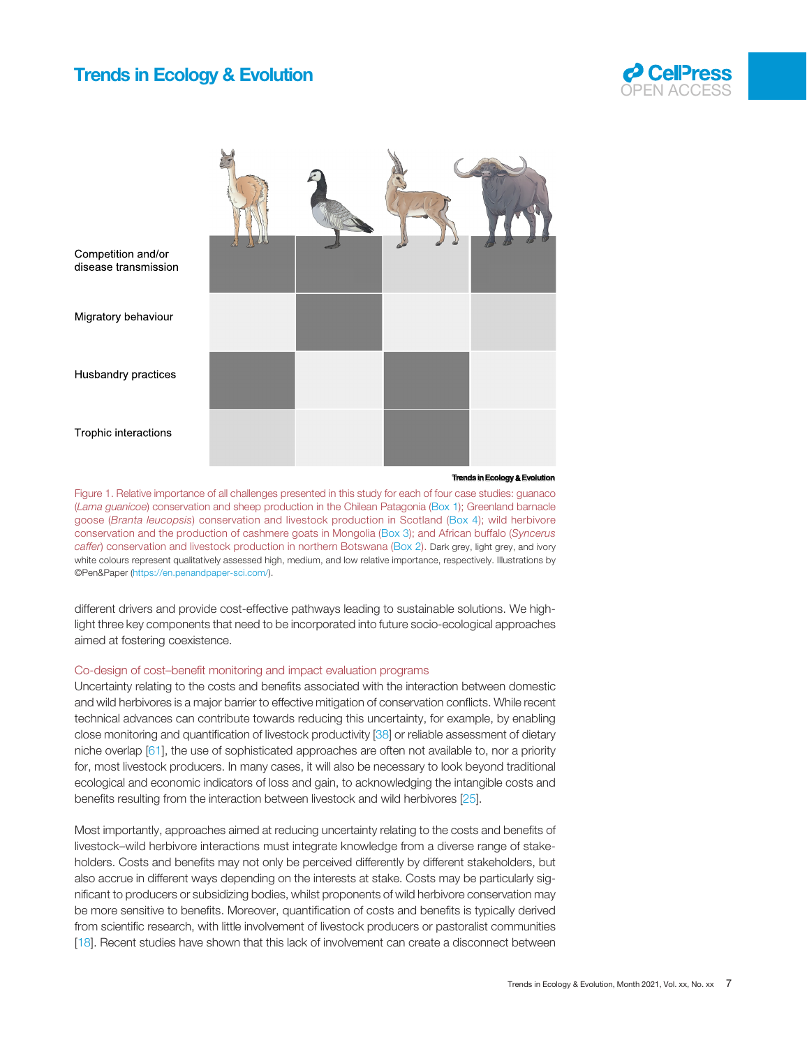

<span id="page-6-0"></span>

**Trends in Ecology & Evolution**

Figure 1. Relative importance of all challenges presented in this study for each of four case studies: guanaco (Lama guanicoe) conservation and sheep production in the Chilean Patagonia ([Box 1\)](#page-2-0); Greenland barnacle goose (Branta leucopsis) conservation and livestock production in Scotland ([Box 4\)](#page-3-0); wild herbivore conservation and the production of cashmere goats in Mongolia ([Box 3\)](#page-3-0); and African buffalo (Syncerus caffer) conservation and livestock production in northern Botswana [\(Box 2\)](#page-2-0). Dark grey, light grey, and ivory white colours represent qualitatively assessed high, medium, and low relative importance, respectively. Illustrations by ©Pen&Paper [\(https://en.penandpaper-sci.com/\)](https://en.penandpaper-sci.com/).

different drivers and provide cost-effective pathways leading to sustainable solutions. We highlight three key components that need to be incorporated into future socio-ecological approaches aimed at fostering coexistence.

#### Co-design of cost–benefit monitoring and impact evaluation programs

Uncertainty relating to the costs and benefits associated with the interaction between domestic and wild herbivores is a major barrier to effective mitigation of conservation conflicts. While recent technical advances can contribute towards reducing this uncertainty, for example, by enabling close monitoring and quantification of livestock productivity [[38\]](#page-10-0) or reliable assessment of dietary niche overlap [[61\]](#page-11-0), the use of sophisticated approaches are often not available to, nor a priority for, most livestock producers. In many cases, it will also be necessary to look beyond traditional ecological and economic indicators of loss and gain, to acknowledging the intangible costs and benefits resulting from the interaction between livestock and wild herbivores [\[25\]](#page-10-0).

Most importantly, approaches aimed at reducing uncertainty relating to the costs and benefits of livestock–wild herbivore interactions must integrate knowledge from a diverse range of stakeholders. Costs and benefits may not only be perceived differently by different stakeholders, but also accrue in different ways depending on the interests at stake. Costs may be particularly significant to producers or subsidizing bodies, whilst proponents of wild herbivore conservation may be more sensitive to benefits. Moreover, quantification of costs and benefits is typically derived from scientific research, with little involvement of livestock producers or pastoralist communities [[18\]](#page-10-0). Recent studies have shown that this lack of involvement can create a disconnect between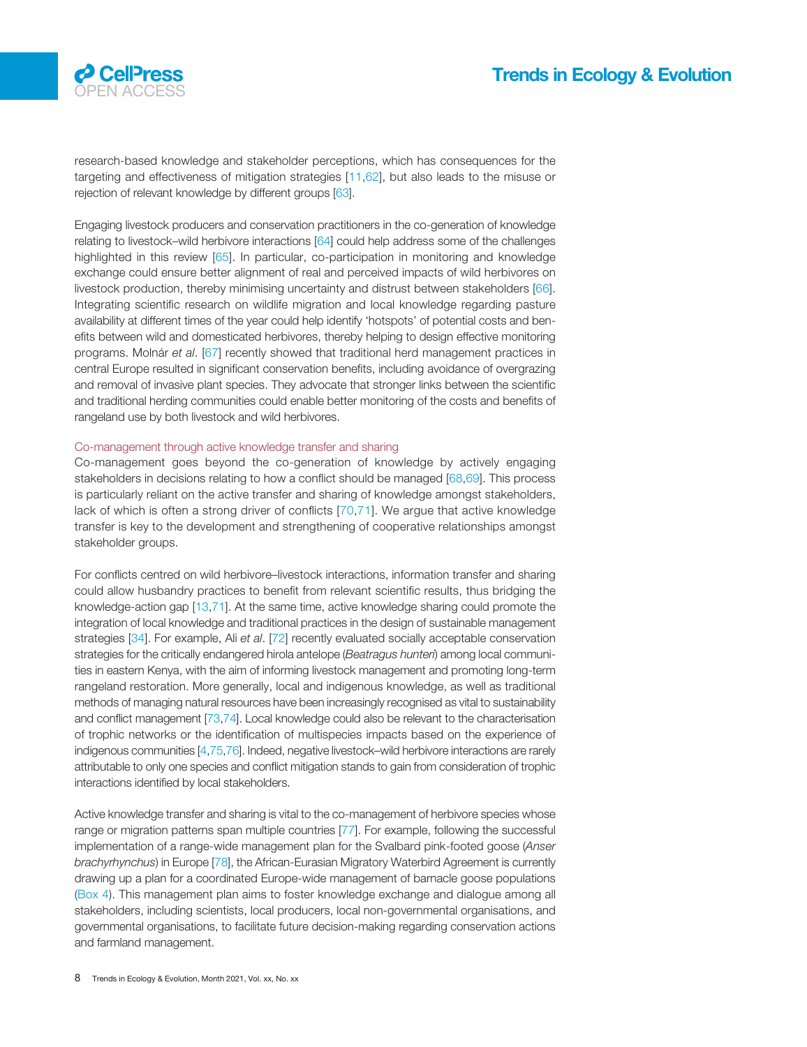

research-based knowledge and stakeholder perceptions, which has consequences for the targeting and effectiveness of mitigation strategies [[11,](#page-10-0)[62\]](#page-11-0), but also leads to the misuse or rejection of relevant knowledge by different groups [\[63\]](#page-11-0).

Engaging livestock producers and conservation practitioners in the co-generation of knowledge relating to livestock–wild herbivore interactions [\[64](#page-11-0)] could help address some of the challenges highlighted in this review [[65](#page-11-0)]. In particular, co-participation in monitoring and knowledge exchange could ensure better alignment of real and perceived impacts of wild herbivores on livestock production, thereby minimising uncertainty and distrust between stakeholders [[66\]](#page-11-0). Integrating scientific research on wildlife migration and local knowledge regarding pasture availability at different times of the year could help identify 'hotspots' of potential costs and benefits between wild and domesticated herbivores, thereby helping to design effective monitoring programs. Molnár et al. [\[67](#page-11-0)] recently showed that traditional herd management practices in central Europe resulted in significant conservation benefits, including avoidance of overgrazing and removal of invasive plant species. They advocate that stronger links between the scientific and traditional herding communities could enable better monitoring of the costs and benefits of rangeland use by both livestock and wild herbivores.

#### Co-management through active knowledge transfer and sharing

Co-management goes beyond the co-generation of knowledge by actively engaging stakeholders in decisions relating to how a conflict should be managed [[68,69\]](#page-11-0). This process is particularly reliant on the active transfer and sharing of knowledge amongst stakeholders, lack of which is often a strong driver of conflicts [[70,71\]](#page-11-0). We argue that active knowledge transfer is key to the development and strengthening of cooperative relationships amongst stakeholder groups.

For conflicts centred on wild herbivore–livestock interactions, information transfer and sharing could allow husbandry practices to benefit from relevant scientific results, thus bridging the knowledge-action gap [\[13](#page-10-0)[,71](#page-11-0)]. At the same time, active knowledge sharing could promote the integration of local knowledge and traditional practices in the design of sustainable management strategies [\[34](#page-10-0)]. For example, Ali et al. [\[72](#page-11-0)] recently evaluated socially acceptable conservation strategies for the critically endangered hirola antelope (Beatragus hunteri) among local communities in eastern Kenya, with the aim of informing livestock management and promoting long-term rangeland restoration. More generally, local and indigenous knowledge, as well as traditional methods of managing natural resources have been increasingly recognised as vital to sustainability and conflict management [[73,74\]](#page-11-0). Local knowledge could also be relevant to the characterisation of trophic networks or the identification of multispecies impacts based on the experience of indigenous communities [[4,](#page-9-0)[75,76\]](#page-11-0). Indeed, negative livestock–wild herbivore interactions are rarely attributable to only one species and conflict mitigation stands to gain from consideration of trophic interactions identified by local stakeholders.

Active knowledge transfer and sharing is vital to the co-management of herbivore species whose range or migration patterns span multiple countries [\[77](#page-11-0)]. For example, following the successful implementation of a range-wide management plan for the Svalbard pink-footed goose (Anser brachyrhynchus) in Europe [\[78](#page-11-0)], the African-Eurasian Migratory Waterbird Agreement is currently drawing up a plan for a coordinated Europe-wide management of barnacle goose populations ([Box 4](#page-3-0)). This management plan aims to foster knowledge exchange and dialogue among all stakeholders, including scientists, local producers, local non-governmental organisations, and governmental organisations, to facilitate future decision-making regarding conservation actions and farmland management.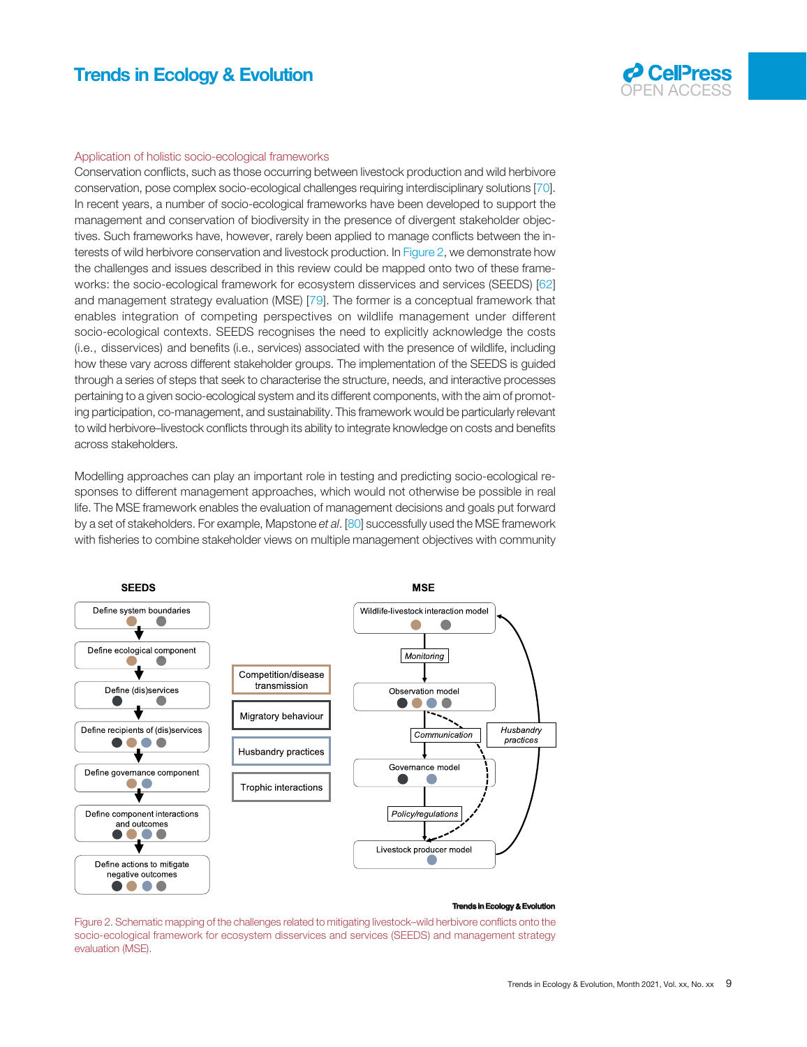

#### Application of holistic socio-ecological frameworks

Conservation conflicts, such as those occurring between livestock production and wild herbivore conservation, pose complex socio-ecological challenges requiring interdisciplinary solutions [\[70\]](#page-11-0). In recent years, a number of socio-ecological frameworks have been developed to support the management and conservation of biodiversity in the presence of divergent stakeholder objectives. Such frameworks have, however, rarely been applied to manage conflicts between the interests of wild herbivore conservation and livestock production. In Figure 2, we demonstrate how the challenges and issues described in this review could be mapped onto two of these frameworks: the socio-ecological framework for ecosystem disservices and services (SEEDS) [\[62](#page-11-0)] and management strategy evaluation (MSE) [\[79\]](#page-11-0). The former is a conceptual framework that enables integration of competing perspectives on wildlife management under different socio-ecological contexts. SEEDS recognises the need to explicitly acknowledge the costs (i.e., disservices) and benefits (i.e., services) associated with the presence of wildlife, including how these vary across different stakeholder groups. The implementation of the SEEDS is guided through a series of steps that seek to characterise the structure, needs, and interactive processes pertaining to a given socio-ecological system and its different components, with the aim of promoting participation, co-management, and sustainability. This framework would be particularly relevant to wild herbivore–livestock conflicts through its ability to integrate knowledge on costs and benefits across stakeholders.

Modelling approaches can play an important role in testing and predicting socio-ecological responses to different management approaches, which would not otherwise be possible in real life. The MSE framework enables the evaluation of management decisions and goals put forward by a set of stakeholders. For example, Mapstone et al. [[80\]](#page-11-0) successfully used the MSE framework with fisheries to combine stakeholder views on multiple management objectives with community



#### **Trends in Ecology & Evol**

Figure 2. Schematic mapping of the challenges related to mitigating livestock–wild herbivore conflicts onto the socio-ecological framework for ecosystem disservices and services (SEEDS) and management strategy evaluation (MSE).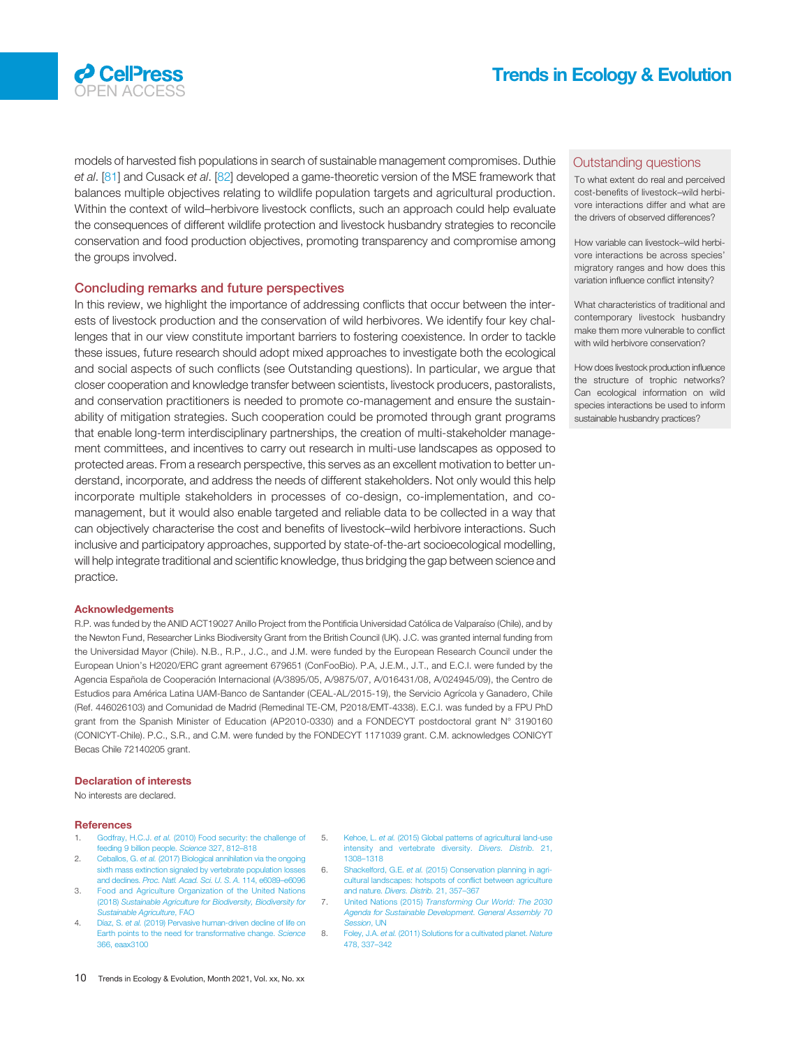<span id="page-9-0"></span>

models of harvested fish populations in search of sustainable management compromises. Duthie et al. [\[81\]](#page-11-0) and Cusack et al. [\[82](#page-11-0)] developed a game-theoretic version of the MSE framework that balances multiple objectives relating to wildlife population targets and agricultural production. Within the context of wild–herbivore livestock conflicts, such an approach could help evaluate the consequences of different wildlife protection and livestock husbandry strategies to reconcile conservation and food production objectives, promoting transparency and compromise among the groups involved.

#### Concluding remarks and future perspectives

In this review, we highlight the importance of addressing conflicts that occur between the interests of livestock production and the conservation of wild herbivores. We identify four key challenges that in our view constitute important barriers to fostering coexistence. In order to tackle these issues, future research should adopt mixed approaches to investigate both the ecological and social aspects of such conflicts (see Outstanding questions). In particular, we argue that closer cooperation and knowledge transfer between scientists, livestock producers, pastoralists, and conservation practitioners is needed to promote co-management and ensure the sustainability of mitigation strategies. Such cooperation could be promoted through grant programs that enable long-term interdisciplinary partnerships, the creation of multi-stakeholder management committees, and incentives to carry out research in multi-use landscapes as opposed to protected areas. From a research perspective, this serves as an excellent motivation to better understand, incorporate, and address the needs of different stakeholders. Not only would this help incorporate multiple stakeholders in processes of co-design, co-implementation, and comanagement, but it would also enable targeted and reliable data to be collected in a way that can objectively characterise the cost and benefits of livestock–wild herbivore interactions. Such inclusive and participatory approaches, supported by state-of-the-art socioecological modelling, will help integrate traditional and scientific knowledge, thus bridging the gap between science and practice.

#### Acknowledgements

R.P. was funded by the ANID ACT19027 Anillo Project from the Pontificia Universidad Católica de Valparaíso (Chile), and by the Newton Fund, Researcher Links Biodiversity Grant from the British Council (UK). J.C. was granted internal funding from the Universidad Mayor (Chile). N.B., R.P., J.C., and J.M. were funded by the European Research Council under the European Union's H2020/ERC grant agreement 679651 (ConFooBio). P.A, J.E.M., J.T., and E.C.I. were funded by the Agencia Española de Cooperación Internacional (A/3895/05, A/9875/07, A/016431/08, A/024945/09), the Centro de Estudios para América Latina UAM-Banco de Santander (CEAL-AL/2015-19), the Servicio Agrícola y Ganadero, Chile (Ref. 446026103) and Comunidad de Madrid (Remedinal TE-CM, P2018/EMT-4338). E.C.I. was funded by a FPU PhD grant from the Spanish Minister of Education (AP2010-0330) and a FONDECYT postdoctoral grant N° 3190160 (CONICYT-Chile). P.C., S.R., and C.M. were funded by the FONDECYT 1171039 grant. C.M. acknowledges CONICYT Becas Chile 72140205 grant.

#### Declaration of interests

No interests are declared.

#### **References**

- 1. Godfray, H.C.J. et al. [\(2010\) Food security: the challenge of](http://refhub.elsevier.com/S0169-5347(21)00147-6/rf0005) 5. [feeding 9 billion people.](http://refhub.elsevier.com/S0169-5347(21)00147-6/rf0005) Science 327, 812–818
- 2. Ceballos, G. et al. [\(2017\) Biological annihilation via the ongoing](http://refhub.elsevier.com/S0169-5347(21)00147-6/rf0010) [sixth mass extinction signaled by vertebrate population losses](http://refhub.elsevier.com/S0169-5347(21)00147-6/rf0010) and declines. [Proc. Natl. Acad. Sci. U. S. A.](http://refhub.elsevier.com/S0169-5347(21)00147-6/rf0010) 114, e6089–e6096
- 3. [Food and Agriculture Organization of the United Nations](http://refhub.elsevier.com/S0169-5347(21)00147-6/rf0015) (2018) [Sustainable Agriculture for Biodiversity, Biodiversity for](http://refhub.elsevier.com/S0169-5347(21)00147-6/rf0015) [Sustainable Agriculture](http://refhub.elsevier.com/S0169-5347(21)00147-6/rf0015), FAO
- 4. Díaz, S. et al. [\(2019\) Pervasive human-driven decline of life on](http://refhub.elsevier.com/S0169-5347(21)00147-6/rf0020) [Earth points to the need for transformative change.](http://refhub.elsevier.com/S0169-5347(21)00147-6/rf0020) Science [366, eaax3100](http://refhub.elsevier.com/S0169-5347(21)00147-6/rf0020)
- 5. Kehoe, L. et al. [\(2015\) Global patterns of agricultural land-use](http://refhub.elsevier.com/S0169-5347(21)00147-6/rf0025) [intensity and vertebrate diversity.](http://refhub.elsevier.com/S0169-5347(21)00147-6/rf0025) Divers. Distrib. 21, [1308](http://refhub.elsevier.com/S0169-5347(21)00147-6/rf0025)–1318
- 6. Shackelford, G.E. et al. [\(2015\) Conservation planning in agri](http://refhub.elsevier.com/S0169-5347(21)00147-6/rf0030)[cultural landscapes: hotspots of con](http://refhub.elsevier.com/S0169-5347(21)00147-6/rf0030)flict between agriculture and nature. [Divers. Distrib.](http://refhub.elsevier.com/S0169-5347(21)00147-6/rf0030) 21, 357–367
- 7. United Nations (2015) [Transforming Our World: The 2030](http://refhub.elsevier.com/S0169-5347(21)00147-6/rf0035) [Agenda for Sustainable Development. General Assembly 70](http://refhub.elsevier.com/S0169-5347(21)00147-6/rf0035) [Session](http://refhub.elsevier.com/S0169-5347(21)00147-6/rf0035), UN
- 8. Foley, J.A. et al. [\(2011\) Solutions for a cultivated planet.](http://refhub.elsevier.com/S0169-5347(21)00147-6/rf0040) Nature [478, 337](http://refhub.elsevier.com/S0169-5347(21)00147-6/rf0040)–342

#### Outstanding questions

To what extent do real and perceived cost-benefits of livestock–wild herbivore interactions differ and what are the drivers of observed differences?

How variable can livestock–wild herbivore interactions be across species' migratory ranges and how does this variation influence conflict intensity?

What characteristics of traditional and contemporary livestock husbandry make them more vulnerable to conflict with wild herbivore conservation?

How does livestock production influence the structure of trophic networks? Can ecological information on wild species interactions be used to inform sustainable husbandry practices?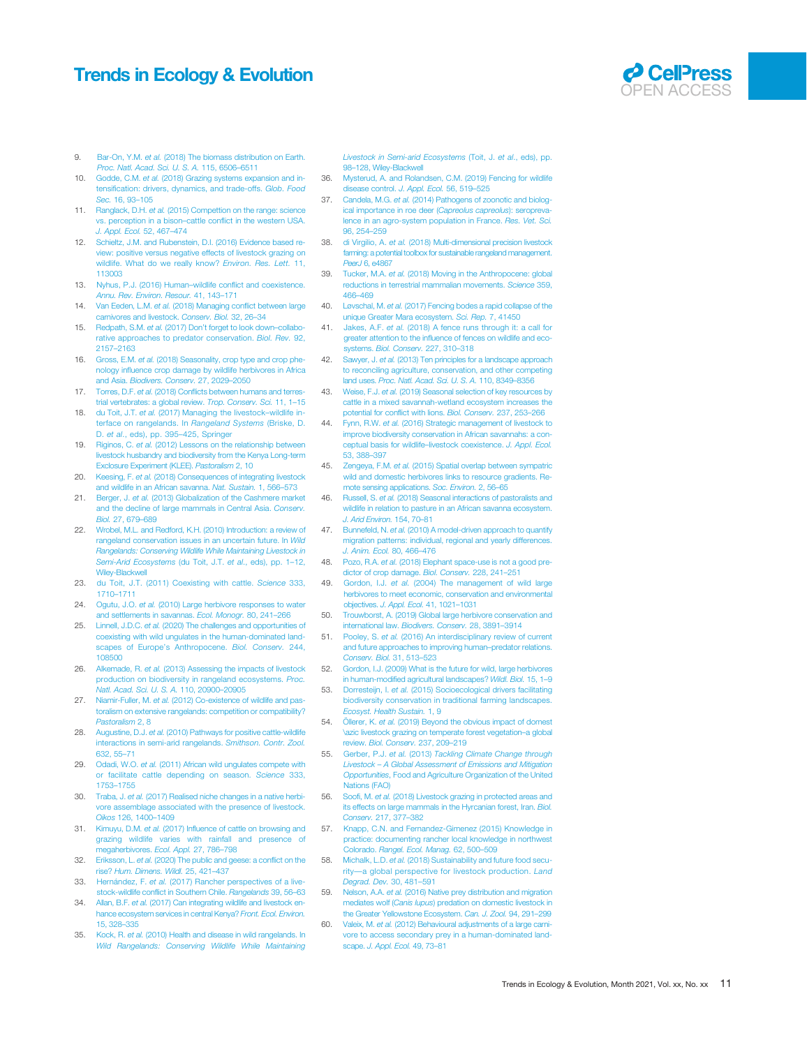# <span id="page-10-0"></span>Trends in Ecology & Evolution **COUPER ACCESS**



- 9. Bar-On, Y.M. et al. [\(2018\) The biomass distribution on Earth.](http://refhub.elsevier.com/S0169-5347(21)00147-6/rf0045) [Proc. Natl. Acad. Sci. U. S. A.](http://refhub.elsevier.com/S0169-5347(21)00147-6/rf0045) 115, 6506–6511
- 10. Godde, C.M. et al. [\(2018\) Grazing systems expansion and in](http://refhub.elsevier.com/S0169-5347(21)00147-6/rf0050)tensifi[cation: drivers, dynamics, and trade-offs.](http://refhub.elsevier.com/S0169-5347(21)00147-6/rf0050) Glob. Food Sec. [16, 93](http://refhub.elsevier.com/S0169-5347(21)00147-6/rf0050)–105
- 11. Ranglack, D.H. et al. [\(2015\) Compettion on the range: science](http://refhub.elsevier.com/S0169-5347(21)00147-6/rf0055) [vs. perception in a bison](http://refhub.elsevier.com/S0169-5347(21)00147-6/rf0055)–cattle conflict in the western USA. [J. Appl. Ecol.](http://refhub.elsevier.com/S0169-5347(21)00147-6/rf0055) 52, 467–474
- 12. [Schieltz, J.M. and Rubenstein, D.I. \(2016\) Evidence based re](http://refhub.elsevier.com/S0169-5347(21)00147-6/rf0060)[view: positive versus negative effects of livestock grazing on](http://refhub.elsevier.com/S0169-5347(21)00147-6/rf0060) [wildlife. What do we really know?](http://refhub.elsevier.com/S0169-5347(21)00147-6/rf0060) Environ. Res. Lett. 11, [113003](http://refhub.elsevier.com/S0169-5347(21)00147-6/rf0060)
- 13. [Nyhus, P.J. \(2016\) Human](http://refhub.elsevier.com/S0169-5347(21)00147-6/rf0065)–wildlife conflict and coexistence. [Annu. Rev. Environ. Resour.](http://refhub.elsevier.com/S0169-5347(21)00147-6/rf0065) 41, 143–171
- 14. Van Eeden, L.M. et al. [\(2018\) Managing con](http://refhub.elsevier.com/S0169-5347(21)00147-6/rf0070)flict between large arnivores and livestock. Conserv. Biol. 32, 26-34
- 15. Redpath, S.M. et al. (2017) Don'[t forget to look down](http://refhub.elsevier.com/S0169-5347(21)00147-6/rf0075)-collabo[rative approaches to predator conservation.](http://refhub.elsevier.com/S0169-5347(21)00147-6/rf0075) Biol. Rev. 92, [2157](http://refhub.elsevier.com/S0169-5347(21)00147-6/rf0075)–2163
- 16. Gross, E.M. et al. [\(2018\) Seasonality, crop type and crop phe](http://refhub.elsevier.com/S0169-5347(21)00147-6/rf0080)nology infl[uence crop damage by wildlife herbivores in Africa](http://refhub.elsevier.com/S0169-5347(21)00147-6/rf0080) and Asia. [Biodivers. Conserv.](http://refhub.elsevier.com/S0169-5347(21)00147-6/rf0080) 27, 2029–2050
- 17. Torres, D.F. et al. (2018) Confl[icts between humans and terres](http://refhub.elsevier.com/S0169-5347(21)00147-6/rf0085)[trial vertebrates: a global review.](http://refhub.elsevier.com/S0169-5347(21)00147-6/rf0085) Trop. Conserv. Sci. 11, 1–15
- 18. du Toit, J.T. et al. [\(2017\) Managing the livestock](http://refhub.elsevier.com/S0169-5347(21)00147-6/rf0090)–wildlife in[terface on rangelands. In](http://refhub.elsevier.com/S0169-5347(21)00147-6/rf0090) Rangeland Systems (Briske, D. D. et al[., eds\), pp. 395](http://refhub.elsevier.com/S0169-5347(21)00147-6/rf0090)–425, Springer
- 19. Riginos, C. et al. [\(2012\) Lessons on the relationship between](http://refhub.elsevier.com/S0169-5347(21)00147-6/rf0095) [livestock husbandry and biodiversity from the Kenya Long-term](http://refhub.elsevier.com/S0169-5347(21)00147-6/rf0095) [Exclosure Experiment \(KLEE\).](http://refhub.elsevier.com/S0169-5347(21)00147-6/rf0095) Pastoralism 2, 10
- 20. Keesing, F. et al. [\(2018\) Consequences of integrating livestock](http://refhub.elsevier.com/S0169-5347(21)00147-6/rf0100) [and wildlife in an African savanna.](http://refhub.elsevier.com/S0169-5347(21)00147-6/rf0100) Nat. Sustain. 1, 566–573
- 21. Berger, J. et al. [\(2013\) Globalization of the Cashmere market](http://refhub.elsevier.com/S0169-5347(21)00147-6/rf0105) [and the decline of large mammals in Central Asia.](http://refhub.elsevier.com/S0169-5347(21)00147-6/rf0105) Conserv. Biol. [27, 679](http://refhub.elsevier.com/S0169-5347(21)00147-6/rf0105)–689
- 22. [Wrobel, M.L. and Redford, K.H. \(2010\) Introduction: a review of](http://refhub.elsevier.com/S0169-5347(21)00147-6/rf0110) [rangeland conservation issues in an uncertain future. In](http://refhub.elsevier.com/S0169-5347(21)00147-6/rf0110) Wild [Rangelands: Conserving Wildlife While Maintaining Livestock in](http://refhub.elsevier.com/S0169-5347(21)00147-6/rf0110) [Semi-Arid Ecosystems](http://refhub.elsevier.com/S0169-5347(21)00147-6/rf0110) (du Toit, J.T. et al., eds), pp. 1-12, [Wiley-Blackwell](http://refhub.elsevier.com/S0169-5347(21)00147-6/rf0110)
- 23. [du Toit, J.T. \(2011\) Coexisting with cattle.](http://refhub.elsevier.com/S0169-5347(21)00147-6/rf0115) Science 333, [1710](http://refhub.elsevier.com/S0169-5347(21)00147-6/rf0115)–1711
- 24. Ogutu, J.O. et al. [\(2010\) Large herbivore responses to water](http://refhub.elsevier.com/S0169-5347(21)00147-6/rf0120) [and settlements in savannas.](http://refhub.elsevier.com/S0169-5347(21)00147-6/rf0120) Ecol. Monogr. 80, 241–266
- 25. Linnell, J.D.C. et al. [\(2020\) The challenges and opportunities of](http://refhub.elsevier.com/S0169-5347(21)00147-6/rf0125) [coexisting with wild ungulates in the human-dominated land](http://refhub.elsevier.com/S0169-5347(21)00147-6/rf0125)[scapes of Europe](http://refhub.elsevier.com/S0169-5347(21)00147-6/rf0125)'s Anthropocene. Biol. Conserv. 244, [108500](http://refhub.elsevier.com/S0169-5347(21)00147-6/rf0125)
- 26. Alkemade, R. et al. [\(2013\) Assessing the impacts of livestock](http://refhub.elsevier.com/S0169-5347(21)00147-6/rf0130) [production on biodiversity in rangeland ecosystems.](http://refhub.elsevier.com/S0169-5347(21)00147-6/rf0130) Proc. [Natl. Acad. Sci. U. S. A.](http://refhub.elsevier.com/S0169-5347(21)00147-6/rf0130) 110, 20900–20905
- 27. Niamir-Fuller, M. et al. [\(2012\) Co-existence of wildlife and pas](http://refhub.elsevier.com/S0169-5347(21)00147-6/rf0135)[toralism on extensive rangelands: competition or compatibility?](http://refhub.elsevier.com/S0169-5347(21)00147-6/rf0135) [Pastoralism](http://refhub.elsevier.com/S0169-5347(21)00147-6/rf0135) 2, 8
- 28. Augustine, D.J. et al. [\(2010\) Pathways for positive cattle-wildlife](http://refhub.elsevier.com/S0169-5347(21)00147-6/rf0140) nteractions in semi-arid rangelands. Smithson. Contr. Zool. [632, 55](http://refhub.elsevier.com/S0169-5347(21)00147-6/rf0140)–71
- 29. Odadi, W.O. et al. [\(2011\) African wild ungulates compete with](http://refhub.elsevier.com/S0169-5347(21)00147-6/rf0145) [or facilitate cattle depending on season.](http://refhub.elsevier.com/S0169-5347(21)00147-6/rf0145) Science 333, [1753](http://refhub.elsevier.com/S0169-5347(21)00147-6/rf0145)–1755
- 30. Traba, J. et al. [\(2017\) Realised niche changes in a native herbi](http://refhub.elsevier.com/S0169-5347(21)00147-6/rf0150)[vore assemblage associated with the presence of livestock.](http://refhub.elsevier.com/S0169-5347(21)00147-6/rf0150) Oikos [126, 1400](http://refhub.elsevier.com/S0169-5347(21)00147-6/rf0150)–1409
- 31. Kimuyu, D.M. et al. (2017) Infl[uence of cattle on browsing and](http://refhub.elsevier.com/S0169-5347(21)00147-6/rf0155) [grazing wildlife varies with rainfall and presence of](http://refhub.elsevier.com/S0169-5347(21)00147-6/rf0155) [megaherbivores.](http://refhub.elsevier.com/S0169-5347(21)00147-6/rf0155) Ecol. Appl. 27, 786-798
- 32. Eriksson, L. et al. [\(2020\) The public and geese: a con](http://refhub.elsevier.com/S0169-5347(21)00147-6/rf0160)flict on the rise? [Hum. Dimens. Wildl.](http://refhub.elsevier.com/S0169-5347(21)00147-6/rf0160) 25, 421–437
- 33. Hernández, F. et al. [\(2017\) Rancher perspectives of a live](http://refhub.elsevier.com/S0169-5347(21)00147-6/rf0165)stock-wildlife confl[ict in Southern Chile.](http://refhub.elsevier.com/S0169-5347(21)00147-6/rf0165) Rangelands 39, 56-63
- 34. Allan, B.F. et al. [\(2017\) Can integrating wildlife and livestock en](http://refhub.elsevier.com/S0169-5347(21)00147-6/rf0170)[hance ecosystem services in central Kenya?](http://refhub.elsevier.com/S0169-5347(21)00147-6/rf0170) Front. Ecol. Environ. [15, 328](http://refhub.elsevier.com/S0169-5347(21)00147-6/rf0170)–335
- 35. Kock, R. et al. [\(2010\) Health and disease in wild rangelands. In](http://refhub.elsevier.com/S0169-5347(21)00147-6/rf0175) [Wild Rangelands: Conserving Wildlife While Maintaining](http://refhub.elsevier.com/S0169-5347(21)00147-6/rf0175)

[Livestock in Semi-arid Ecosystems](http://refhub.elsevier.com/S0169-5347(21)00147-6/rf0175) (Toit, J. et al., eds), pp. 98–[128, Wiley-Blackwell](http://refhub.elsevier.com/S0169-5347(21)00147-6/rf0175)

- 36. [Mysterud, A. and Rolandsen, C.M. \(2019\) Fencing for wildlife](http://refhub.elsevier.com/S0169-5347(21)00147-6/rf0180) [disease control.](http://refhub.elsevier.com/S0169-5347(21)00147-6/rf0180) J. Appl. Ecol. 56, 519–525
- 37. Candela, M.G. et al. [\(2014\) Pathogens of zoonotic and biolog](http://refhub.elsevier.com/S0169-5347(21)00147-6/rf0185)[ical importance in roe deer \(](http://refhub.elsevier.com/S0169-5347(21)00147-6/rf0185)Capreolus capreolus): seropreva[lence in an agro-system population in France.](http://refhub.elsevier.com/S0169-5347(21)00147-6/rf0185) Res. Vet. Sci. [96, 254](http://refhub.elsevier.com/S0169-5347(21)00147-6/rf0185)–259
- 38. di Virgilio, A. et al. [\(2018\) Multi-dimensional precision livestock](http://refhub.elsevier.com/S0169-5347(21)00147-6/rf0190) [farming: a potential toolbox for sustainable rangeland management.](http://refhub.elsevier.com/S0169-5347(21)00147-6/rf0190) Peer<sub>J</sub> [6, e4867](http://refhub.elsevier.com/S0169-5347(21)00147-6/rf0190)
- 39. Tucker, M.A. et al. [\(2018\) Moving in the Anthropocene: global](http://refhub.elsevier.com/S0169-5347(21)00147-6/rf0195) [reductions in terrestrial mammalian movements.](http://refhub.elsevier.com/S0169-5347(21)00147-6/rf0195) Science 359, [466](http://refhub.elsevier.com/S0169-5347(21)00147-6/rf0195)–469
- 40. Løvschal, M. et al. [\(2017\) Fencing bodes a rapid collapse of the](http://refhub.elsevier.com/S0169-5347(21)00147-6/rf0200) [unique Greater Mara ecosystem.](http://refhub.elsevier.com/S0169-5347(21)00147-6/rf0200) Sci. Rep. 7, 41450
- 41. Jakes, A.F. et al. [\(2018\) A fence runs through it: a call for](http://refhub.elsevier.com/S0169-5347(21)00147-6/rf0205) greater attention to the infl[uence of fences on wildlife and eco](http://refhub.elsevier.com/S0169-5347(21)00147-6/rf0205)systems. [Biol. Conserv.](http://refhub.elsevier.com/S0169-5347(21)00147-6/rf0205) 227, 310–318
- 42. Sawyer, J. et al. [\(2013\) Ten principles for a landscape approach](http://refhub.elsevier.com/S0169-5347(21)00147-6/rf0210) [to reconciling agriculture, conservation, and other competing](http://refhub.elsevier.com/S0169-5347(21)00147-6/rf0210) land uses. [Proc. Natl. Acad. Sci. U. S. A.](http://refhub.elsevier.com/S0169-5347(21)00147-6/rf0210) 110, 8349–8356
- 43. Weise, F.J. et al. [\(2019\) Seasonal selection of key resources by](http://refhub.elsevier.com/S0169-5347(21)00147-6/rf0215) [cattle in a mixed savannah-wetland ecosystem increases the](http://refhub.elsevier.com/S0169-5347(21)00147-6/rf0215) [potential for con](http://refhub.elsevier.com/S0169-5347(21)00147-6/rf0215)flict with lions. Biol. Conserv. 237, 253–266
- 44. Fynn, R.W. et al. [\(2016\) Strategic management of livestock to](http://refhub.elsevier.com/S0169-5347(21)00147-6/rf0220) [improve biodiversity conservation in African savannahs: a con](http://refhub.elsevier.com/S0169-5347(21)00147-6/rf0220)[ceptual basis for wildlife](http://refhub.elsevier.com/S0169-5347(21)00147-6/rf0220)–livestock coexistence. J. Appl. Ecol. [53, 388](http://refhub.elsevier.com/S0169-5347(21)00147-6/rf0220)–397
- 45. Zengeya, F.M. et al. [\(2015\) Spatial overlap between sympatric](http://refhub.elsevier.com/S0169-5347(21)00147-6/rf0225) wild and domestic herbivores links to resource gradients. Be[mote sensing applications.](http://refhub.elsevier.com/S0169-5347(21)00147-6/rf0225) Soc. Environ. 2, 56–65
- 46. Russell, S. et al. [\(2018\) Seasonal interactions of pastoralists and](http://refhub.elsevier.com/S0169-5347(21)00147-6/rf0230) [wildlife in relation to pasture in an African savanna ecosystem.](http://refhub.elsevier.com/S0169-5347(21)00147-6/rf0230) [J. Arid Environ.](http://refhub.elsevier.com/S0169-5347(21)00147-6/rf0230) 154, 70–81
- 47. Bunnefeld, N. et al. [\(2010\) A model-driven approach to quantify](http://refhub.elsevier.com/S0169-5347(21)00147-6/rf0235) [migration patterns: individual, regional and yearly differences.](http://refhub.elsevier.com/S0169-5347(21)00147-6/rf0235) [J. Anim. Ecol.](http://refhub.elsevier.com/S0169-5347(21)00147-6/rf0235) 80, 466–476
- Pozo, R.A. et al. [\(2018\) Elephant space-use is not a good pre](http://refhub.elsevier.com/S0169-5347(21)00147-6/rf0240)[dictor of crop damage.](http://refhub.elsevier.com/S0169-5347(21)00147-6/rf0240) Biol. Conserv. 228, 241–251
- 49. Gordon, I.J. et al. [\(2004\) The management of wild large](http://refhub.elsevier.com/S0169-5347(21)00147-6/rf0245) [herbivores to meet economic, conservation and environmental](http://refhub.elsevier.com/S0169-5347(21)00147-6/rf0245) objectives. [J. Appl. Ecol.](http://refhub.elsevier.com/S0169-5347(21)00147-6/rf0245) 41, 1021–1031
- 50. [Trouwborst, A. \(2019\) Global large herbivore conservation and](http://refhub.elsevier.com/S0169-5347(21)00147-6/rf0250) international law. [Biodivers. Conserv.](http://refhub.elsevier.com/S0169-5347(21)00147-6/rf0250) 28, 3891–3914
- 51. Pooley, S. et al. [\(2016\) An interdisciplinary review of current](http://refhub.elsevier.com/S0169-5347(21)00147-6/rf0255) [and future approaches to improving human](http://refhub.elsevier.com/S0169-5347(21)00147-6/rf0255)–predator relations. [Conserv. Biol.](http://refhub.elsevier.com/S0169-5347(21)00147-6/rf0255) 31, 513–523
- 52. [Gordon, I.J. \(2009\) What is the future for wild, large herbivores](http://refhub.elsevier.com/S0169-5347(21)00147-6/rf0260) in human-modifi[ed agricultural landscapes?](http://refhub.elsevier.com/S0169-5347(21)00147-6/rf0260) Wildl. Biol. 15, 1–9
- Dorresteijn, I. et al. [\(2015\) Socioecological drivers facilitating](http://refhub.elsevier.com/S0169-5347(21)00147-6/rf0265) [biodiversity conservation in traditional farming landscapes.](http://refhub.elsevier.com/S0169-5347(21)00147-6/rf0265) [Ecosyst. Health Sustain.](http://refhub.elsevier.com/S0169-5347(21)00147-6/rf0265) 1, 9
- 54. Öllerer, K. et al. [\(2019\) Beyond the obvious impact of domest](http://refhub.elsevier.com/S0169-5347(21)00147-6/rf0270) [\azic livestock grazing on temperate forest vegetation](http://refhub.elsevier.com/S0169-5347(21)00147-6/rf0270)–a global review. [Biol. Conserv.](http://refhub.elsevier.com/S0169-5347(21)00147-6/rf0270) 237, 209–219
- 55. Gerber, P.J. et al. (2013) [Tackling Climate Change through](http://refhub.elsevier.com/S0169-5347(21)00147-6/rf0275) Livestock – [A Global Assessment of Emissions and Mitigation](http://refhub.elsevier.com/S0169-5347(21)00147-6/rf0275) Opportunities[, Food and Agriculture Organization of the United](http://refhub.elsevier.com/S0169-5347(21)00147-6/rf0275) [Nations \(FAO\)](http://refhub.elsevier.com/S0169-5347(21)00147-6/rf0275)
- 56. Soofi, M. et al. [\(2018\) Livestock grazing in protected areas and](http://refhub.elsevier.com/S0169-5347(21)00147-6/rf0280) [its effects on large mammals in the Hyrcanian forest, Iran.](http://refhub.elsevier.com/S0169-5347(21)00147-6/rf0280) Biol. Conserv. [217, 377](http://refhub.elsevier.com/S0169-5347(21)00147-6/rf0280)–382
- 57. [Knapp, C.N. and Fernandez-Gimenez \(2015\) Knowledge in](http://refhub.elsevier.com/S0169-5347(21)00147-6/rf0285) [practice: documenting rancher local knowledge in northwest](http://refhub.elsevier.com/S0169-5347(21)00147-6/rf0285) Colorado. [Rangel. Ecol. Manag.](http://refhub.elsevier.com/S0169-5347(21)00147-6/rf0285) 62, 500–509
- 58. Michalk, L.D. et al. [\(2018\) Sustainability and future food secu](http://refhub.elsevier.com/S0169-5347(21)00147-6/rf0290)rity—[a global perspective for livestock production.](http://refhub.elsevier.com/S0169-5347(21)00147-6/rf0290) Land [Degrad. Dev.](http://refhub.elsevier.com/S0169-5347(21)00147-6/rf0290) 30, 481–591
- 59. Nelson, A.A. et al. [\(2016\) Native prey distribution and migration](http://refhub.elsevier.com/S0169-5347(21)00147-6/rf0295) mediates wolf (Canis lupus[\) predation on domestic livestock in](http://refhub.elsevier.com/S0169-5347(21)00147-6/rf0295) [the Greater Yellowstone Ecosystem.](http://refhub.elsevier.com/S0169-5347(21)00147-6/rf0295) Can. J. Zool. 94, 291–299
- 60. Valeix, M. et al. [\(2012\) Behavioural adjustments of a large carni](http://refhub.elsevier.com/S0169-5347(21)00147-6/rf0300)[vore to access secondary prey in a human-dominated land](http://refhub.elsevier.com/S0169-5347(21)00147-6/rf0300)scape. [J. Appl. Ecol.](http://refhub.elsevier.com/S0169-5347(21)00147-6/rf0300) 49, 73–81